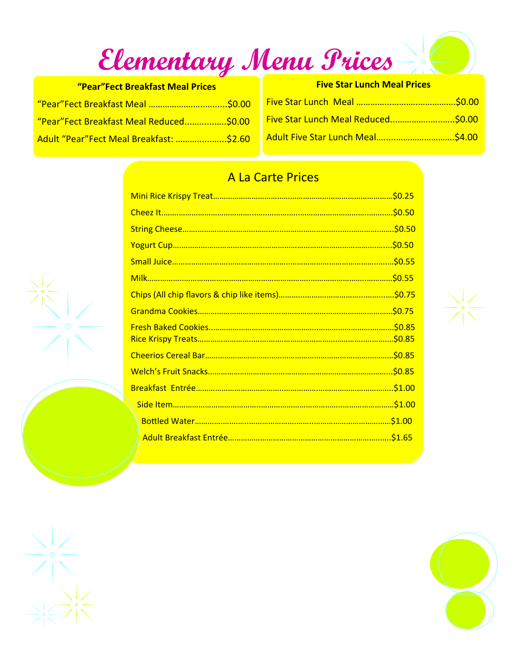**Elementary Menu Prices** 

| "Pear"Fect Breakfast Meal Prices        |  |  |
|-----------------------------------------|--|--|
| "Pear"Fect Breakfast Meal \$0.00        |  |  |
| "Pear"Fect Breakfast Meal Reduced\$0.00 |  |  |
| Adult "Pear"Fect Meal Breakfast: \$2.60 |  |  |

| <b>Five Star Lunch Meal Prices</b> |  |  |
|------------------------------------|--|--|
|                                    |  |  |
| Five Star Lunch Meal Reduced\$0.00 |  |  |
|                                    |  |  |

## A La Carte Prices

| .50.50 |
|--------|
|        |
|        |
|        |
|        |
|        |
|        |
|        |
|        |
|        |
|        |
|        |
|        |

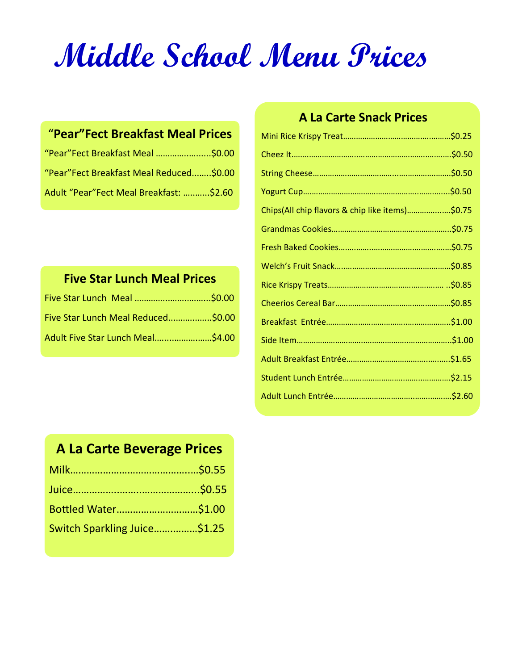# **Middle School Menu Prices**

### "**Pear"Fect Breakfast Meal Prices**

| "Pear"Fect Breakfast Meal \$0.00        | Cheez It             |
|-----------------------------------------|----------------------|
| "Pear"Fect Breakfast Meal Reduced\$0.00 | <b>String Cheese</b> |
| Adult "Pear"Fect Meal Breakfast: \$2.60 | Yogurt Cup           |

# **Five Star Lunch Meal Prices**

| Five Star Lunch Meal Reduced\$0.00 |
|------------------------------------|
|                                    |

#### **A La Carte Snack Prices**

| Chips(All chip flavors & chip like items)\$0.75 |
|-------------------------------------------------|
|                                                 |
|                                                 |
|                                                 |
|                                                 |
|                                                 |
|                                                 |
|                                                 |
|                                                 |
|                                                 |
|                                                 |
|                                                 |

# **A La Carte Beverage Prices**

| Bottled Water\$1.00          |  |
|------------------------------|--|
| Switch Sparkling Juice\$1.25 |  |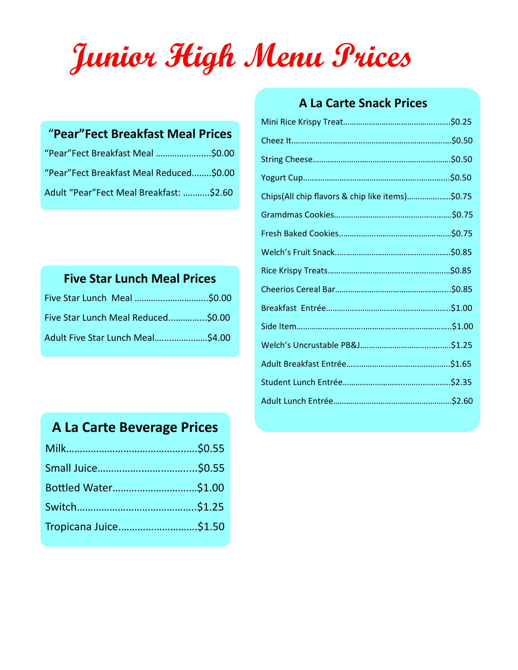# **Junior High Menu Prices**

#### "**Pear"Fect Breakfast Meal Prices**

| "Pear"Fect Breakfast Meal \$0.00        | String Cheese        |
|-----------------------------------------|----------------------|
| "Pear"Fect Breakfast Meal Reduced\$0.00 | Yogurt Cup           |
| Adult "Pear"Fect Meal Breakfast: \$2.60 | Chips(All chip flavo |

# **Five Star Lunch Meal Prices**

| Five Star Lunch Meal Reduced\$0.00 |  |
|------------------------------------|--|
| Adult Five Star Lunch Meal\$4.00   |  |

#### **A La Carte Snack Prices**

| Chips(All chip flavors & chip like items)\$0.75 |  |
|-------------------------------------------------|--|
|                                                 |  |
|                                                 |  |
|                                                 |  |
|                                                 |  |
|                                                 |  |
|                                                 |  |
|                                                 |  |
|                                                 |  |
|                                                 |  |
|                                                 |  |
|                                                 |  |

# **A La Carte Beverage Prices**

| Bottled Water\$1.00   |  |
|-----------------------|--|
|                       |  |
| Tropicana Juice\$1.50 |  |
|                       |  |